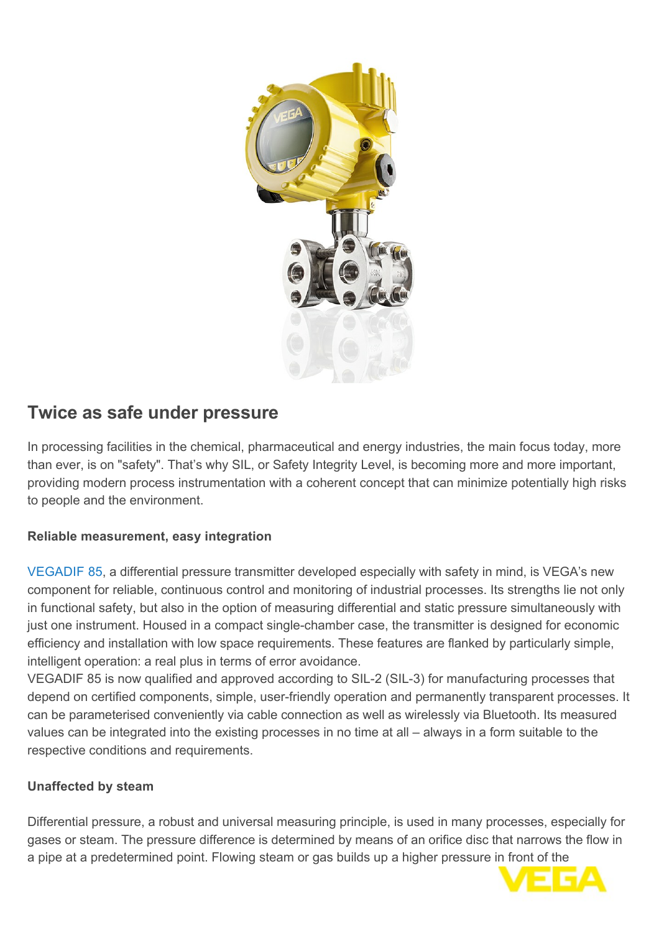

# **Twice as safe under pressure**

In processing facilities in the chemical, pharmaceutical and energy industries, the main focus today, more than ever, is on "safety". That's why SIL, or Safety Integrity Level, is becoming more and more important, providing modern process instrumentation with a coherent concept that can minimize potentially high risks to people and the environment.

# **Reliable measurement, easy integration**

[VEGADIF 85,](http://localhost/en-it/products/product-catalog/pressure/differential-pressure/vegadif-85) a differential pressure transmitter developed especially with safety in mind, is VEGA's new component for reliable, continuous control and monitoring of industrial processes. Its strengths lie not only in functional safety, but also in the option of measuring differential and static pressure simultaneously with just one instrument. Housed in a compact single-chamber case, the transmitter is designed for economic efficiency and installation with low space requirements. These features are flanked by particularly simple, intelligent operation: a real plus in terms of error avoidance.

VEGADIF 85 is now qualified and approved according to SIL-2 (SIL-3) for manufacturing processes that depend on certified components, simple, user-friendly operation and permanently transparent processes. It can be parameterised conveniently via cable connection as well as wirelessly via Bluetooth. Its measured values can be integrated into the existing processes in no time at all – always in a form suitable to the respective conditions and requirements.

# **Unaffected by steam**

Differential pressure, a robust and universal measuring principle, is used in many processes, especially for gases or steam. The pressure difference is determined by means of an orifice disc that narrows the flow in a pipe at a predetermined point. Flowing steam or gas builds up a higher pressure in front of the